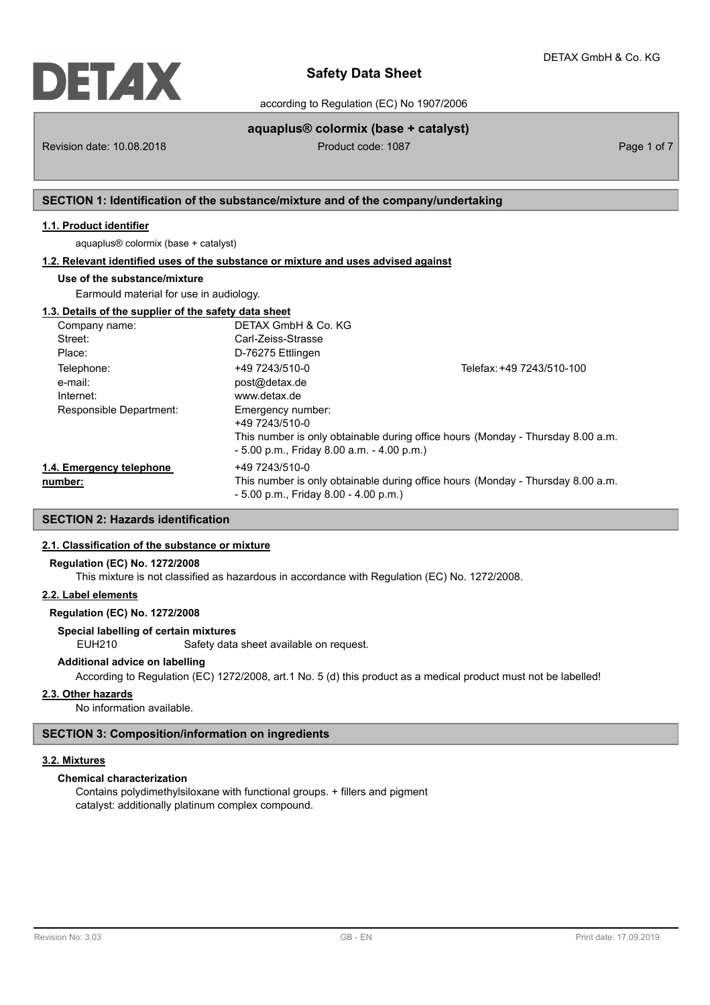

according to Regulation (EC) No 1907/2006

Revision date: 10.08.2018 **Product code: 1087** Product code: 1087 **Page 1 of 7** Page 1 of 7

**aquaplus® colormix (base + catalyst)**

## **SECTION 1: Identification of the substance/mixture and of the company/undertaking**

### **1.1. Product identifier**

aquaplus® colormix (base + catalyst)

### **1.2. Relevant identified uses of the substance or mixture and uses advised against**

### **Use of the substance/mixture**

Earmould material for use in audiology.

| 1.3. Details of the supplier of the safety data sheet |                                              |                                                                                 |
|-------------------------------------------------------|----------------------------------------------|---------------------------------------------------------------------------------|
| Company name:                                         | DETAX GmbH & Co. KG                          |                                                                                 |
| Street:                                               | Carl-Zeiss-Strasse                           |                                                                                 |
| Place:                                                | D-76275 Ettlingen                            |                                                                                 |
| Telephone:                                            | +49 7243/510-0                               | Telefax: +49 7243/510-100                                                       |
| e-mail:                                               | post@detax.de                                |                                                                                 |
| Internet:                                             | www.detax.de                                 |                                                                                 |
| Responsible Department:                               | Emergency number:                            |                                                                                 |
|                                                       | +49 7243/510-0                               |                                                                                 |
|                                                       | $-5.00$ p.m., Friday 8.00 a.m. $-4.00$ p.m.) | This number is only obtainable during office hours (Monday - Thursday 8.00 a.m. |
| 1.4. Emergency telephone                              | +49 7243/510-0                               |                                                                                 |
| number:                                               | $-5.00$ p.m., Friday 8.00 $-4.00$ p.m.)      | This number is only obtainable during office hours (Monday - Thursday 8.00 a.m. |

## **SECTION 2: Hazards identification**

## **2.1. Classification of the substance or mixture**

#### **Regulation (EC) No. 1272/2008**

This mixture is not classified as hazardous in accordance with Regulation (EC) No. 1272/2008.

#### **2.2. Label elements**

## **Regulation (EC) No. 1272/2008**

## **Special labelling of certain mixtures**

EUH210 Safety data sheet available on request.

### **Additional advice on labelling**

According to Regulation (EC) 1272/2008, art.1 No. 5 (d) this product as a medical product must not be labelled!

### **2.3. Other hazards**

No information available.

### **SECTION 3: Composition/information on ingredients**

### **3.2. Mixtures**

### **Chemical characterization**

Contains polydimethylsiloxane with functional groups. + fillers and pigment catalyst: additionally platinum complex compound.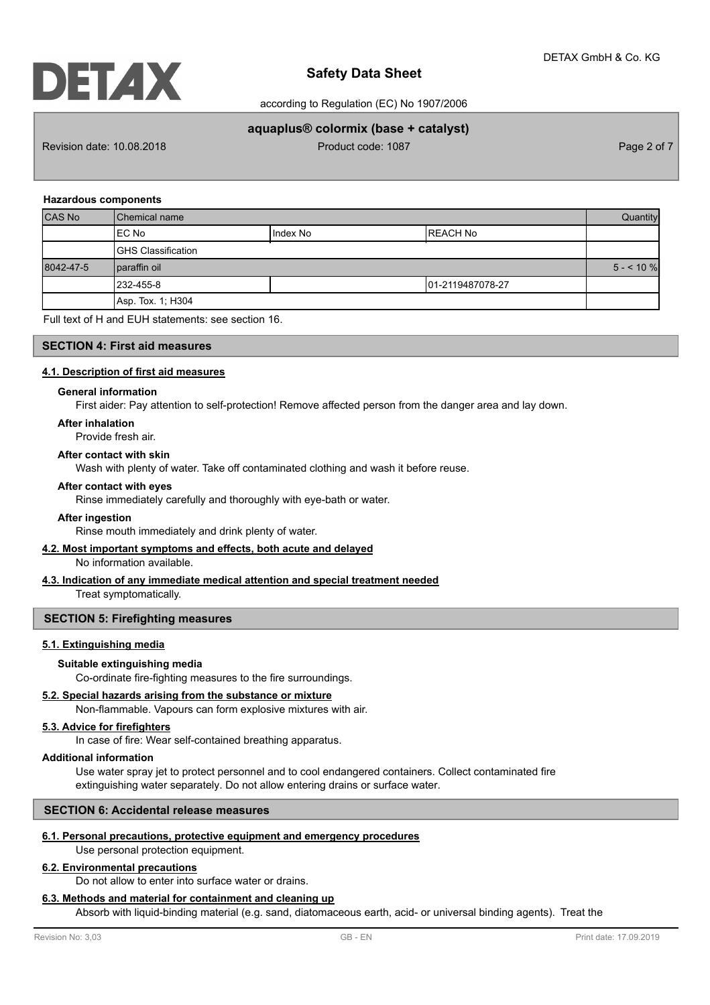according to Regulation (EC) No 1907/2006

## **aquaplus® colormix (base + catalyst)**

Revision date: 10.08.2018 **Product code: 1087** Product code: 1087 **Page 2 of 7** Page 2 of 7

### **Hazardous components**

| <b>CAS No</b> | l Chemical name            |            |                   | Quantity   |
|---------------|----------------------------|------------|-------------------|------------|
|               | IEC No                     | I Index No | IREACH No         |            |
|               | <b>IGHS Classification</b> |            |                   |            |
| 8042-47-5     | paraffin oil               |            |                   | $5 - 10\%$ |
|               | 232-455-8                  |            | 101-2119487078-27 |            |
|               | Asp. Tox. 1; H304          |            |                   |            |

Full text of H and EUH statements: see section 16.

### **SECTION 4: First aid measures**

### **4.1. Description of first aid measures**

#### **General information**

First aider: Pay attention to self-protection! Remove affected person from the danger area and lay down.

#### **After inhalation**

Provide fresh air.

### **After contact with skin**

Wash with plenty of water. Take off contaminated clothing and wash it before reuse.

### **After contact with eyes**

Rinse immediately carefully and thoroughly with eye-bath or water.

### **After ingestion**

Rinse mouth immediately and drink plenty of water.

### **4.2. Most important symptoms and effects, both acute and delayed**

No information available.

### **4.3. Indication of any immediate medical attention and special treatment needed**

Treat symptomatically.

### **SECTION 5: Firefighting measures**

### **5.1. Extinguishing media**

### **Suitable extinguishing media**

Co-ordinate fire-fighting measures to the fire surroundings.

### **5.2. Special hazards arising from the substance or mixture**

Non-flammable. Vapours can form explosive mixtures with air.

### **5.3. Advice for firefighters**

In case of fire: Wear self-contained breathing apparatus.

### **Additional information**

Use water spray jet to protect personnel and to cool endangered containers. Collect contaminated fire extinguishing water separately. Do not allow entering drains or surface water.

### **SECTION 6: Accidental release measures**

### **6.1. Personal precautions, protective equipment and emergency procedures**

Use personal protection equipment.

## **6.2. Environmental precautions**

Do not allow to enter into surface water or drains.

## **6.3. Methods and material for containment and cleaning up**

Absorb with liquid-binding material (e.g. sand, diatomaceous earth, acid- or universal binding agents). Treat the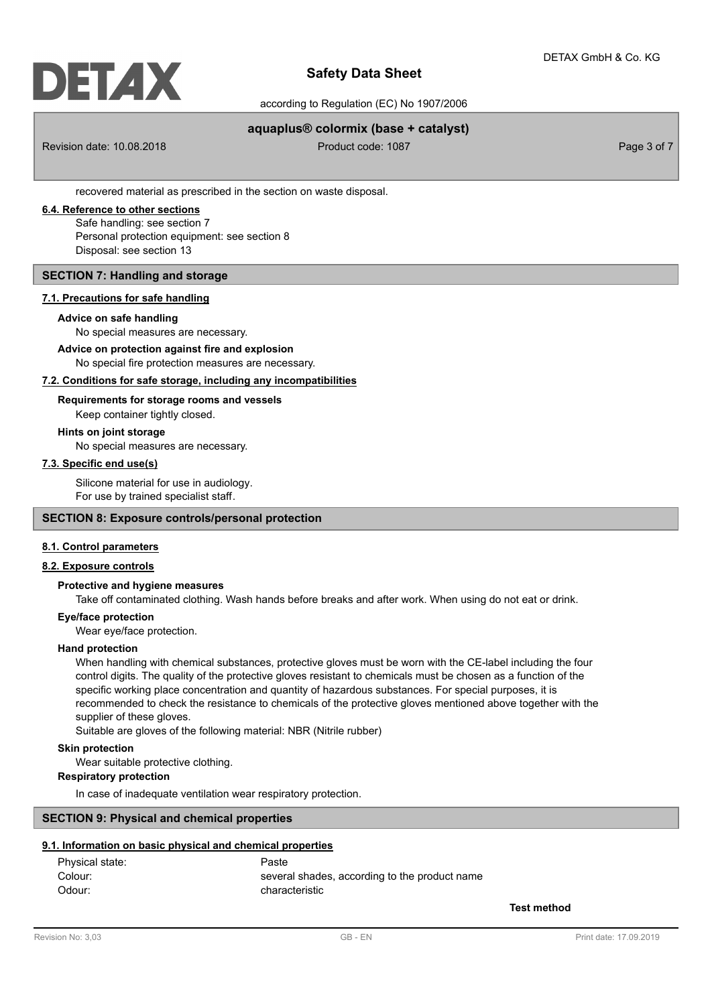

according to Regulation (EC) No 1907/2006

## **aquaplus® colormix (base + catalyst)**

Revision date: 10.08.2018 **Product code: 1087** Product code: 1087 **Page 3 of 7** Page 3 of 7

recovered material as prescribed in the section on waste disposal.

## **6.4. Reference to other sections**

Safe handling: see section 7 Personal protection equipment: see section 8 Disposal: see section 13

## **SECTION 7: Handling and storage**

### **7.1. Precautions for safe handling**

#### **Advice on safe handling**

No special measures are necessary.

#### No special fire protection measures are necessary. **Advice on protection against fire and explosion**

## **7.2. Conditions for safe storage, including any incompatibilities**

## **Requirements for storage rooms and vessels**

Keep container tightly closed.

### **Hints on joint storage**

No special measures are necessary.

## **7.3. Specific end use(s)**

Silicone material for use in audiology. For use by trained specialist staff.

### **SECTION 8: Exposure controls/personal protection**

### **8.1. Control parameters**

### **8.2. Exposure controls**

### **Protective and hygiene measures**

Take off contaminated clothing. Wash hands before breaks and after work. When using do not eat or drink.

### **Eye/face protection**

Wear eye/face protection.

### **Hand protection**

When handling with chemical substances, protective gloves must be worn with the CE-label including the four control digits. The quality of the protective gloves resistant to chemicals must be chosen as a function of the specific working place concentration and quantity of hazardous substances. For special purposes, it is recommended to check the resistance to chemicals of the protective gloves mentioned above together with the supplier of these gloves.

Suitable are gloves of the following material: NBR (Nitrile rubber)

### **Skin protection**

Wear suitable protective clothing.

## **Respiratory protection**

In case of inadequate ventilation wear respiratory protection.

## **SECTION 9: Physical and chemical properties**

## **9.1. Information on basic physical and chemical properties**

| Physical state: | Paste                                         |
|-----------------|-----------------------------------------------|
| Colour:         | several shades, according to the product name |
| Odour:          | characteristic                                |

**Test method**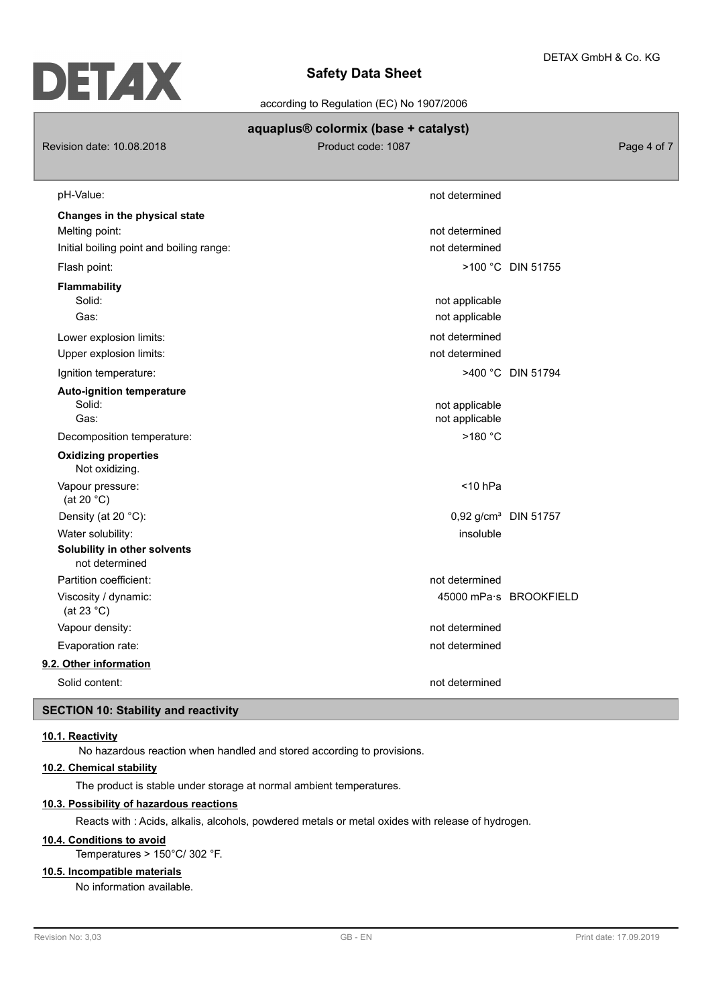according to Regulation (EC) No 1907/2006

## **aquaplus® colormix (base + catalyst)**

Revision date: 10.08.2018 **Product code: 1087** Product code: 1087

| pH-Value:                                      | not determined                   |                          |
|------------------------------------------------|----------------------------------|--------------------------|
| Changes in the physical state                  |                                  |                          |
| Melting point:                                 | not determined                   |                          |
| Initial boiling point and boiling range:       | not determined                   |                          |
| Flash point:                                   |                                  | >100 °C DIN 51755        |
| <b>Flammability</b>                            |                                  |                          |
| Solid:                                         | not applicable                   |                          |
| Gas:                                           | not applicable                   |                          |
| Lower explosion limits:                        | not determined                   |                          |
| Upper explosion limits:                        | not determined                   |                          |
| Ignition temperature:                          |                                  | >400 °C DIN 51794        |
| <b>Auto-ignition temperature</b>               |                                  |                          |
| Solid:                                         | not applicable                   |                          |
| Gas:                                           | not applicable                   |                          |
| Decomposition temperature:                     | >180 °C                          |                          |
| <b>Oxidizing properties</b><br>Not oxidizing.  |                                  |                          |
| Vapour pressure:<br>(at 20 $°C$ )              | $<$ 10 hPa                       |                          |
| Density (at 20 °C):                            | 0,92 g/cm <sup>3</sup> DIN 51757 |                          |
| Water solubility:                              | insoluble                        |                          |
| Solubility in other solvents<br>not determined |                                  |                          |
| Partition coefficient:                         | not determined                   |                          |
| Viscosity / dynamic:<br>(at 23 $^{\circ}$ C)   |                                  | 45000 mPa · s BROOKFIELD |
| Vapour density:                                | not determined                   |                          |
| Evaporation rate:                              | not determined                   |                          |
| 9.2. Other information                         |                                  |                          |
| Solid content:                                 | not determined                   |                          |

## **SECTION 10: Stability and reactivity**

## **10.1. Reactivity**

No hazardous reaction when handled and stored according to provisions.

## **10.2. Chemical stability**

The product is stable under storage at normal ambient temperatures.

## **10.3. Possibility of hazardous reactions**

Reacts with : Acids, alkalis, alcohols, powdered metals or metal oxides with release of hydrogen.

## **10.4. Conditions to avoid**

Temperatures > 150°C/ 302 °F.

## **10.5. Incompatible materials**

No information available.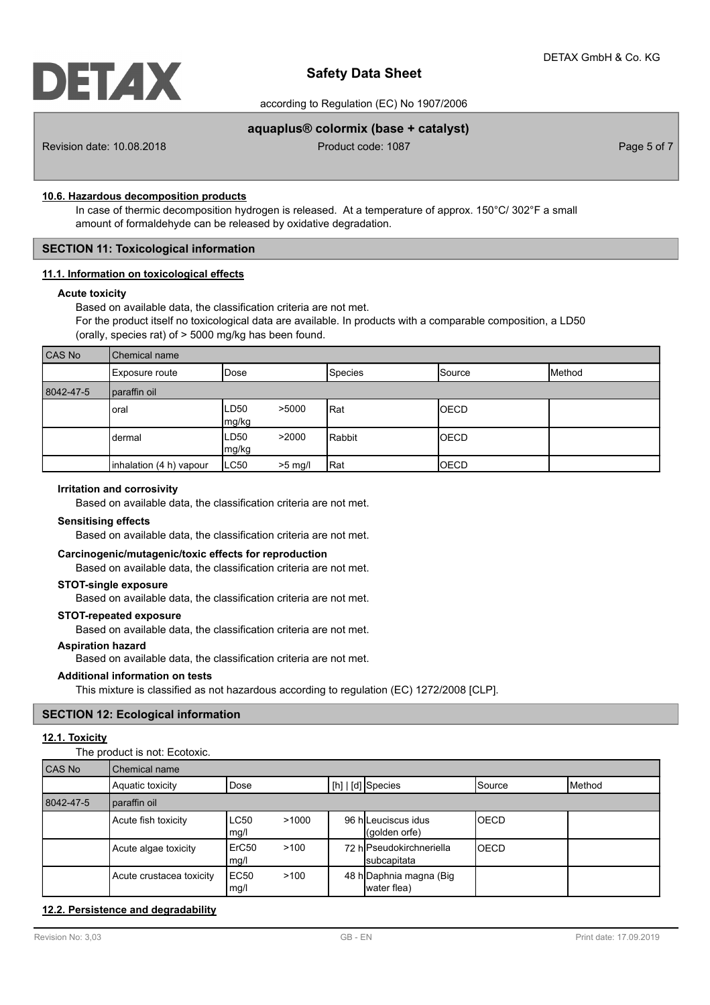according to Regulation (EC) No 1907/2006

## **aquaplus® colormix (base + catalyst)**

Revision date: 10.08.2018 **Product code: 1087** Product code: 1087 **Page 5 of 7** Page 5 of 7

### **10.6. Hazardous decomposition products**

In case of thermic decomposition hydrogen is released. At a temperature of approx. 150°C/ 302°F a small amount of formaldehyde can be released by oxidative degradation.

## **SECTION 11: Toxicological information**

### **11.1. Information on toxicological effects**

### **Acute toxicity**

Based on available data, the classification criteria are not met. For the product itself no toxicological data are available. In products with a comparable composition, a LD50 (orally, species rat) of > 5000 mg/kg has been found.

| CAS No    | Chemical name           |               |           |                |                 |        |
|-----------|-------------------------|---------------|-----------|----------------|-----------------|--------|
|           | Exposure route          | IDose         |           | <b>Species</b> | <b>I</b> Source | Method |
| 8042-47-5 | paraffin oil            |               |           |                |                 |        |
|           | oral                    | LD50<br>mg/kg | >5000     | <b>Rat</b>     | <b>OECD</b>     |        |
|           | dermal                  | LD50<br>mg/kg | >2000     | Rabbit         | IOECD           |        |
|           | inhalation (4 h) vapour | LC50          | $>5$ mg/l | Rat            | <b>OECD</b>     |        |

### **Irritation and corrosivity**

Based on available data, the classification criteria are not met.

### **Sensitising effects**

Based on available data, the classification criteria are not met.

### **Carcinogenic/mutagenic/toxic effects for reproduction**

Based on available data, the classification criteria are not met.

### **STOT-single exposure**

Based on available data, the classification criteria are not met.

#### **STOT-repeated exposure**

Based on available data, the classification criteria are not met.

### **Aspiration hazard**

Based on available data, the classification criteria are not met.

#### **Additional information on tests**

This mixture is classified as not hazardous according to regulation (EC) 1272/2008 [CLP].

### **SECTION 12: Ecological information**

### **12.1. Toxicity**

The product is not: Ecotoxic.

| <b>CAS No</b> | Chemical name            |                     |       |                                         |             |                 |
|---------------|--------------------------|---------------------|-------|-----------------------------------------|-------------|-----------------|
|               | Aquatic toxicity         | Dose                |       | $\lfloor$ [h] $\rfloor$ [d] Species     | ISource     | <b>I</b> Method |
| 8042-47-5     | paraffin oil             |                     |       |                                         |             |                 |
|               | Acute fish toxicity      | <b>LC50</b><br>mg/l | >1000 | 96 hlLeuciscus idus<br>(golden orfe)    | <b>OECD</b> |                 |
|               | Acute algae toxicity     | ErC50<br>mg/l       | >100  | 72 hlPseudokirchneriella<br>subcapitata | <b>OECD</b> |                 |
|               | Acute crustacea toxicity | EC50<br>mg/l        | >100  | 48 h Daphnia magna (Big<br>water flea)  |             |                 |

### **12.2. Persistence and degradability**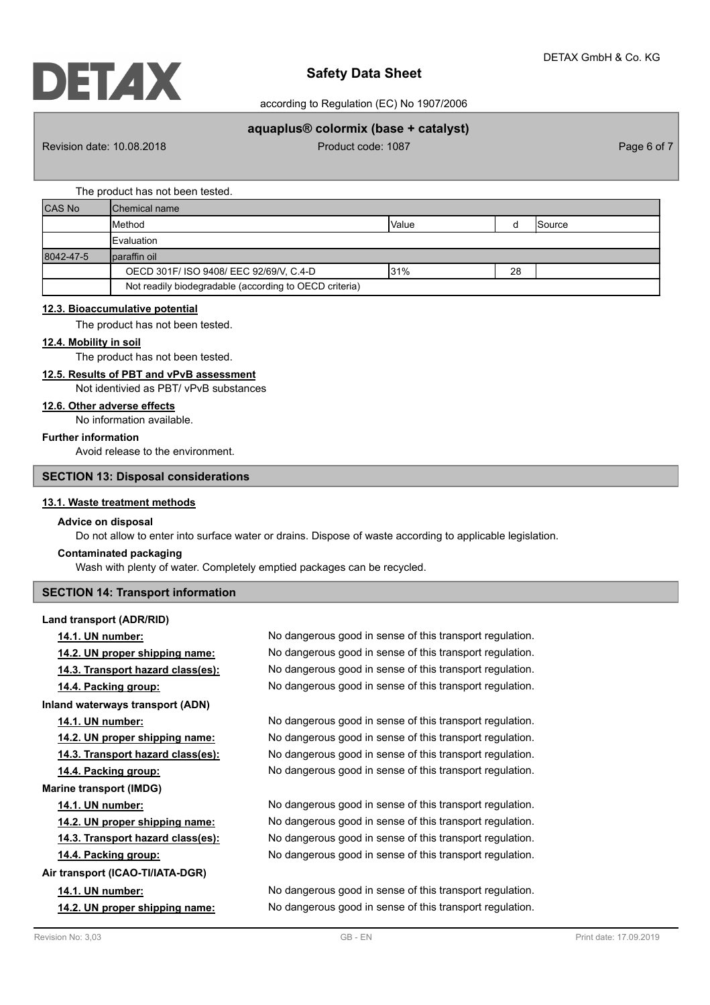according to Regulation (EC) No 1907/2006

## **aquaplus® colormix (base + catalyst)**

Revision date: 10.08.2018 **Product code: 1087** Product code: 1087 **Page 6 of 7** Page 6 of 7

### The product has not been tested.

| <b>CAS No</b> | Chemical name                                          |              |    |                |  |
|---------------|--------------------------------------------------------|--------------|----|----------------|--|
|               | Method                                                 | <b>Value</b> |    | <b>ISource</b> |  |
|               | <b>Evaluation</b>                                      |              |    |                |  |
| 8042-47-5     | Iparaffin oil                                          |              |    |                |  |
|               | OECD 301F/ ISO 9408/ EEC 92/69/V, C.4-D                | 31%          | 28 |                |  |
|               | Not readily biodegradable (according to OECD criteria) |              |    |                |  |

## **12.3. Bioaccumulative potential**

The product has not been tested.

### **12.4. Mobility in soil**

The product has not been tested.

## **12.5. Results of PBT and vPvB assessment**

Not identivied as PBT/ vPvB substances

## **12.6. Other adverse effects**

No information available.

## **Further information**

Avoid release to the environment.

### **SECTION 13: Disposal considerations**

### **13.1. Waste treatment methods**

## **Advice on disposal**

Do not allow to enter into surface water or drains. Dispose of waste according to applicable legislation.

### **Contaminated packaging**

Wash with plenty of water. Completely emptied packages can be recycled.

### **SECTION 14: Transport information**

### **Land transport (ADR/RID)**

| 14.1. UN number:                      | No dangerous good in sense of this transport regulation. |
|---------------------------------------|----------------------------------------------------------|
| 14.2. UN proper shipping name:        | No dangerous good in sense of this transport regulation. |
| 14.3. Transport hazard class(es):     | No dangerous good in sense of this transport regulation. |
| 14.4. Packing group:                  | No dangerous good in sense of this transport regulation. |
| Inland waterways transport (ADN)      |                                                          |
| 14.1. UN number:                      | No dangerous good in sense of this transport regulation. |
| 14.2. UN proper shipping name:        | No dangerous good in sense of this transport regulation. |
| 14.3. Transport hazard class(es):     | No dangerous good in sense of this transport regulation. |
| 14.4. Packing group:                  | No dangerous good in sense of this transport regulation. |
| <b>Marine transport (IMDG)</b>        |                                                          |
| <b>14.1. UN number:</b>               | No dangerous good in sense of this transport regulation. |
| <u>14.2. UN proper shipping name:</u> | No dangerous good in sense of this transport regulation. |
| 14.3. Transport hazard class(es):     | No dangerous good in sense of this transport regulation. |
| 14.4. Packing group:                  | No dangerous good in sense of this transport regulation. |
| Air transport (ICAO-TI/IATA-DGR)      |                                                          |
| 14.1. UN number:                      | No dangerous good in sense of this transport regulation. |
| 14.2. UN proper shipping name:        | No dangerous good in sense of this transport regulation. |